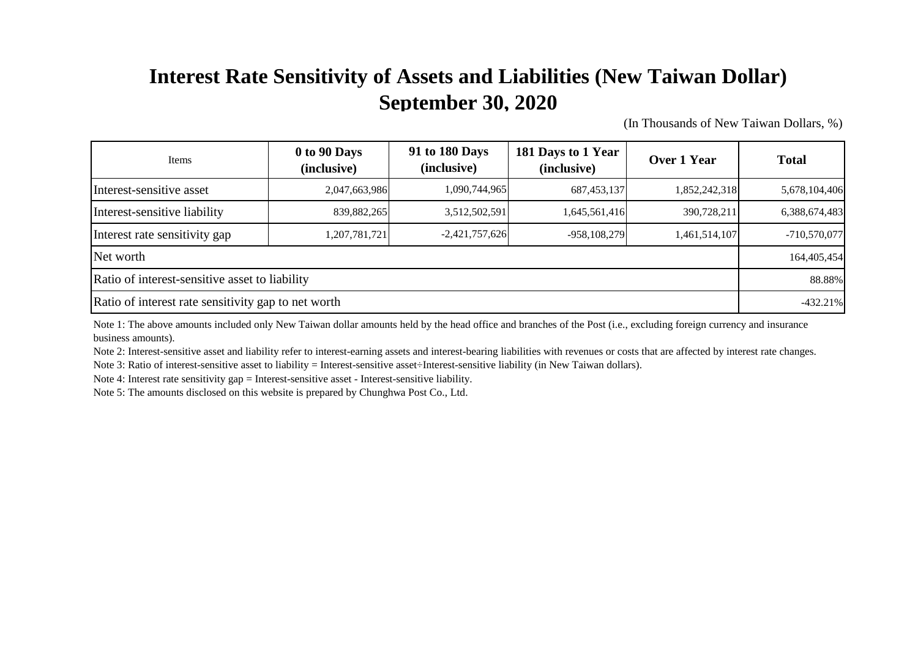## **Interest Rate Sensitivity of Assets and Liabilities (New Taiwan Dollar) September 30, 2020**

(In Thousands of New Taiwan Dollars, %)

| Items                                               | 0 to 90 Days<br>(inclusive) | 91 to 180 Days<br>(inclusive) | 181 Days to 1 Year<br>(inclusive) | Over 1 Year   | <b>Total</b>   |  |
|-----------------------------------------------------|-----------------------------|-------------------------------|-----------------------------------|---------------|----------------|--|
| Interest-sensitive asset                            | 2,047,663,986               | 1,090,744,965                 | 687, 453, 137                     | 1,852,242,318 | 5,678,104,406  |  |
| Interest-sensitive liability                        | 839,882,265                 | 3,512,502,591                 | 1,645,561,416                     | 390,728,211   | 6,388,674,483  |  |
| Interest rate sensitivity gap                       | 1,207,781,721               | $-2,421,757,626$              | $-958,108,279$                    | 1,461,514,107 | $-710,570,077$ |  |
| Net worth                                           |                             |                               |                                   |               |                |  |
| Ratio of interest-sensitive asset to liability      |                             |                               |                                   |               |                |  |
| Ratio of interest rate sensitivity gap to net worth |                             |                               |                                   |               |                |  |

Note 1: The above amounts included only New Taiwan dollar amounts held by the head office and branches of the Post (i.e., excluding foreign currency and insurance business amounts).

Note 2: Interest-sensitive asset and liability refer to interest-earning assets and interest-bearing liabilities with revenues or costs that are affected by interest rate changes. Note 3: Ratio of interest-sensitive asset to liability = Interest-sensitive asset÷Interest-sensitive liability (in New Taiwan dollars).

Note 4: Interest rate sensitivity gap = Interest-sensitive asset - Interest-sensitive liability.

Note 5: The amounts disclosed on this website is prepared by Chunghwa Post Co., Ltd.